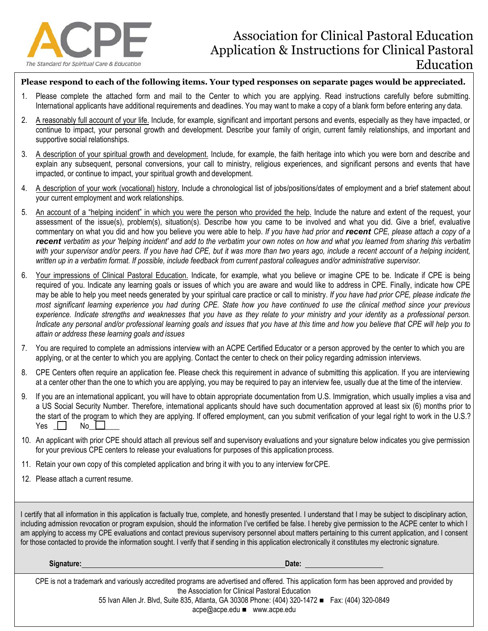

## **Please respond to each of the following items. Your typed responses on separate pages would be appreciated.**

- 1. Please complete the attached form and mail to the Center to which you are applying. Read instructions carefully before submitting. International applicants have additional requirements and deadlines. You may want to make a copy of a blank form before entering any data.
- 2. A reasonably full account of your life. Include, for example, significant and important persons and events, especially as they have impacted, or continue to impact, your personal growth and development. Describe your family of origin, current family relationships, and important and supportive social relationships.
- 3. A description of your spiritual growth and development. Include, for example, the faith heritage into which you were born and describe and explain any subsequent, personal conversions, your call to ministry, religious experiences, and significant persons and events that have impacted, or continue to impact, your spiritual growth and development.
- 4. A description of your work (vocational) history. Include a chronological list of jobs/positions/dates of employment and a brief statement about your current employment and work relationships.
- 5. An account of a "helping incident" in which you were the person who provided the help. Include the nature and extent of the request, your assessment of the issue(s), problem(s), situation(s). Describe how you came to be involved and what you did. Give a brief, evaluative commentary on what you did and how you believe you were able to help. *If you have had prior and recent CPE, please attach a copy of a recent verbatim as your 'helping incident' and add to the verbatim your own notes on how and what you learned from sharing this verbatim with your supervisor and/or peers. If you have had CPE, but it was more than two years ago, include a recent account of a helping incident, written up in a verbatim format. If possible, include feedback from current pastoral colleagues and/or administrative supervisor.*
- 6. Your impressions of Clinical Pastoral Education. Indicate, for example, what you believe or imagine CPE to be. Indicate if CPE is being required of you. Indicate any learning goals or issues of which you are aware and would like to address in CPE. Finally, indicate how CPE may be able to help you meet needs generated by your spiritual care practice or call to ministry. *If you have had prior CPE, please indicate the most significant learning experience you had during CPE. State how you have continued to use the clinical method since your previous experience. Indicate strengths and weaknesses that you have as they relate to your ministry and your identity as a professional person. Indicate any personal and/or professional learning goals and issues that you have at this time and how you believe that CPE will help you to attain or address these learning goals and issues*
- 7. You are required to complete an admissions interview with an ACPE Certified Educator or a person approved by the center to which you are applying, or at the center to which you are applying. Contact the center to check on their policy regarding admission interviews.
- 8. CPE Centers often require an application fee. Please check this requirement in advance of submitting this application. If you are interviewing at a center other than the one to which you are applying, you may be required to pay an interview fee, usually due at the time of the interview.
- 9. If you are an international applicant, you will have to obtain appropriate documentation from U.S. Immigration, which usually implies a visa and a US Social Security Number. Therefore, international applicants should have such documentation approved at least six (6) months prior to the start of the program to which they are applying. If offered employment, can you submit verification of your legal right to work in the U.S.?<br>Yes  $\Box$  No  $\Box$ Yes  $\Box$
- 10. An applicant with prior CPE should attach all previous self and supervisory evaluations and your signature below indicates you give permission for your previous CPE centers to release your evaluations for purposes of this application process.
- 11. Retain your own copy of this completed application and bring it with you to any interview forCPE.
- 12. Please attach a current resume.

I certify that all information in this application is factually true, complete, and honestly presented. I understand that I may be subject to disciplinary action, including admission revocation or program expulsion, should the information I've certified be false. I hereby give permission to the ACPE center to which I am applying to access my CPE evaluations and contact previous supervisory personnel about matters pertaining to this current application, and I consent for those contacted to provide the information sought. I verify that if sending in this application electronically it constitutes my electronic signature.

**Signature: Date: Date: Date: Date: Date: Date: Date: Date: Date: Date: Date: Date: Date: Date: Date: Date: Date: Date: Date: Date: Date: Date: Date: Date: Date: Date:**

CPE is not a trademark and variously accredited programs are advertised and offered. This application form has been approved and provided by the Association for Clinical Pastoral Education

55 Ivan Allen Jr. Blvd, Suite 835, Atlanta, GA 30308 Phone: (404) 320-1472 ■ Fax: (404) 320-0849

[acpe@acpe.edu](mailto:acpe@acpe.edu) ■ [www.acpe.edu](http://www.acpe.edu/)